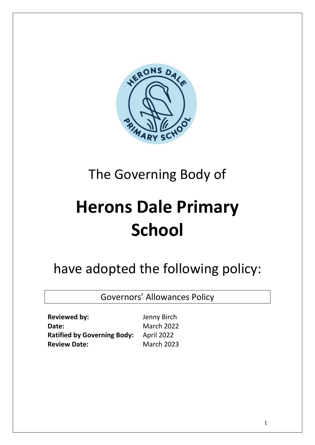

# The Governing Body of

# **Herons Dale Primary School**

## have adopted the following policy:

Governors' Allowances Policy

**Reviewed by:** Jenny Birch Date: March 2022 **Ratified by Governing Body:** April 2022 **Review Date:** March 2023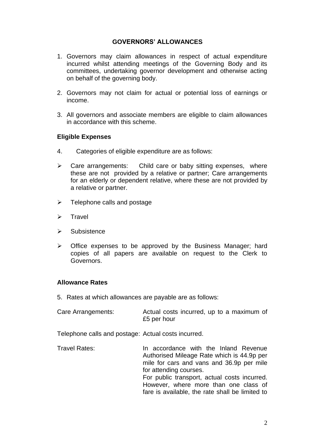## **GOVERNORS' ALLOWANCES**

- 1. Governors may claim allowances in respect of actual expenditure incurred whilst attending meetings of the Governing Body and its committees, undertaking governor development and otherwise acting on behalf of the governing body.
- 2. Governors may not claim for actual or potential loss of earnings or income.
- 3. All governors and associate members are eligible to claim allowances in accordance with this scheme.

#### **Eligible Expenses**

- 4. Categories of eligible expenditure are as follows:
- ➢ Care arrangements: Child care or baby sitting expenses, where these are not provided by a relative or partner; Care arrangements for an elderly or dependent relative, where these are not provided by a relative or partner.
- $\triangleright$  Telephone calls and postage
- ➢ Travel
- ➢ Subsistence
- ➢ Office expenses to be approved by the Business Manager; hard copies of all papers are available on request to the Clerk to Governors.

#### **Allowance Rates**

5. Rates at which allowances are payable are as follows:

| Care Arrangements: | Actual costs incurred, up to a maximum of |  |  |  |
|--------------------|-------------------------------------------|--|--|--|
|                    | £5 per hour                               |  |  |  |

Telephone calls and postage: Actual costs incurred.

Travel Rates: In accordance with the Inland Revenue Authorised Mileage Rate which is 44.9p per mile for cars and vans and 36.9p per mile for attending courses. For public transport, actual costs incurred. However, where more than one class of fare is available, the rate shall be limited to